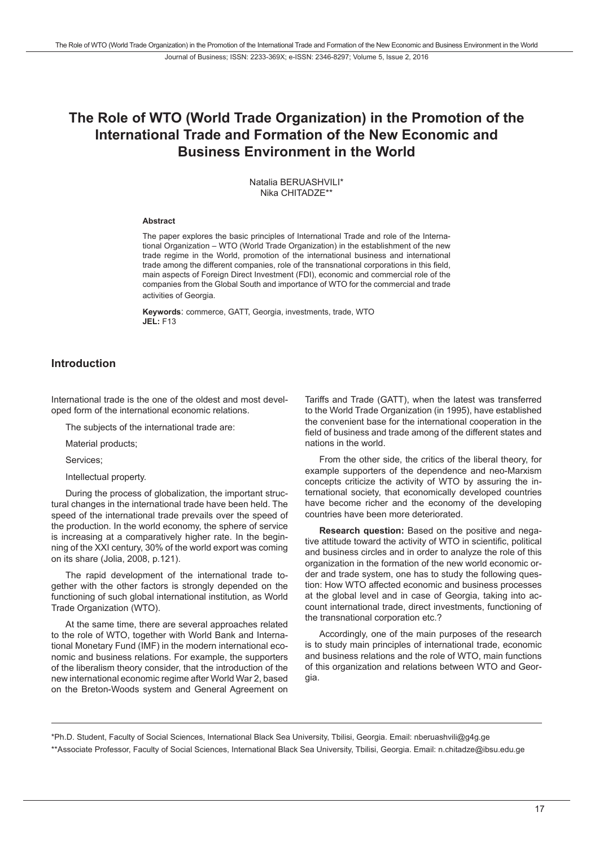# **The Role of WTO (World Trade Organization) in the Promotion of the International Trade and Formation of the New Economic and Business Environment in the World**

Natalia BERUASHVILI\* Nika CHITADZE\*\*

#### **Abstract**

The paper explores the basic principles of International Trade and role of the International Organization – WTO (World Trade Organization) in the establishment of the new trade regime in the World, promotion of the international business and international trade among the different companies, role of the transnational corporations in this field, main aspects of Foreign Direct Investment (FDI), economic and commercial role of the companies from the Global South and importance of WTO for the commercial and trade activities of Georgia.

**Keywords**: commerce, GATT, Georgia, investments, trade, WTO **JEL:** F13

### **Introduction**

International trade is the one of the oldest and most developed form of the international economic relations.

The subjects of the international trade are:

Material products;

Services;

Intellectual property.

During the process of globalization, the important structural changes in the international trade have been held. The speed of the international trade prevails over the speed of the production. In the world economy, the sphere of service is increasing at a comparatively higher rate. In the beginning of the XXI century, 30% of the world export was coming on its share (Jolia, 2008, p.121).

The rapid development of the international trade together with the other factors is strongly depended on the functioning of such global international institution, as World Trade Organization (WTO).

At the same time, there are several approaches related to the role of WTO, together with World Bank and International Monetary Fund (IMF) in the modern international economic and business relations. For example, the supporters of the liberalism theory consider, that the introduction of the new international economic regime after World War 2, based on the Breton-Woods system and General Agreement on

Tariffs and Trade (GATT), when the latest was transferred to the World Trade Organization (in 1995), have established the convenient base for the international cooperation in the field of business and trade among of the different states and nations in the world.

From the other side, the critics of the liberal theory, for example supporters of the dependence and neo-Marxism concepts criticize the activity of WTO by assuring the international society, that economically developed countries have become richer and the economy of the developing countries have been more deteriorated.

**Research question:** Based on the positive and negative attitude toward the activity of WTO in scientific, political and business circles and in order to analyze the role of this organization in the formation of the new world economic order and trade system, one has to study the following question: How WTO affected economic and business processes at the global level and in case of Georgia, taking into account international trade, direct investments, functioning of the transnational corporation etc.?

Accordingly, one of the main purposes of the research is to study main principles of international trade, economic and business relations and the role of WTO, main functions of this organization and relations between WTO and Georgia.

\*Ph.D. Student, Faculty of Social Sciences, International Black Sea University, Tbilisi, Georgia. Email: nberuashvili@g4g.ge \*\*Associate Professor, Faculty of Social Sciences, International Black Sea University, Tbilisi, Georgia. Email: n.chitadze@ibsu.edu.ge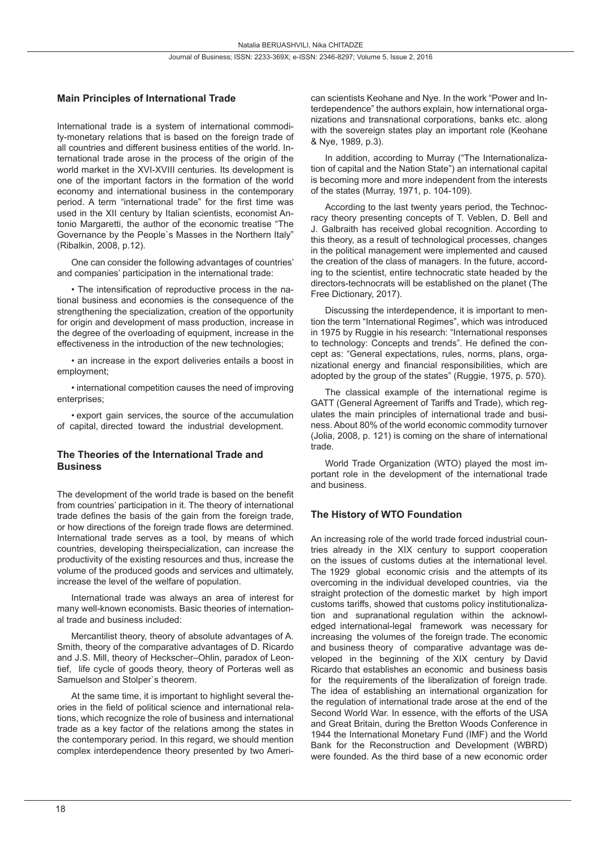#### **Main Principles of International Trade**

International trade is a system of international commodity-monetary relations that is based on the foreign trade of all countries and different business entities of the world. International trade arose in the process of the origin of the world market in the XVI-XVIII centuries. Its development is one of the important factors in the formation of the world economy and international business in the contemporary period. A term "international trade" for the first time was used in the XII century by Italian scientists, economist Antonio Margaretti, the author of the economic treatise "The Governance by the People`s Masses in the Northern Italy" (Ribalkin, 2008, p.12).

One can consider the following advantages of countries' and companies' participation in the international trade:

• The intensification of reproductive process in the national business and economies is the consequence of the strengthening the specialization, creation of the opportunity for origin and development of mass production, increase in the degree of the overloading of equipment, increase in the effectiveness in the introduction of the new technologies;

• an increase in the export deliveries entails a boost in employment;

• international competition causes the need of improving enterprises;

• export gain services, the source of the accumulation of capital, directed toward the industrial development.

#### **The Theories of the International Trade and Business**

The development of the world trade is based on the benefit from countries' participation in it. The theory of international trade defines the basis of the gain from the foreign trade, or how directions of the foreign trade flows are determined. International trade serves as a tool, by means of which countries, developing theirspecialization, can increase the productivity of the existing resources and thus, increase the volume of the produced goods and services and ultimately, increase the level of the welfare of population.

International trade was always an area of interest for many well-known economists. Basic theories of international trade and business included:

Mercantilist theory, theory of absolute advantages of A. Smith, theory of the comparative advantages of D. Ricardo and J.S. Mill, theory of Heckscher–Ohlin, paradox of Leontief, life cycle of goods theory, theory of Porteras well as Samuelson and Stolper`s theorem.

At the same time, it is important to highlight several theories in the field of political science and international relations, which recognize the role of business and international trade as a key factor of the relations among the states in the contemporary period. In this regard, we should mention complex interdependence theory presented by two American scientists Keohane and Nye. In the work "Power and Interdependence" the authors explain, how international organizations and transnational corporations, banks etc. along with the sovereign states play an important role (Keohane & Nye, 1989, p.3).

In addition, according to Murray ("The Internationalization of capital and the Nation State") an international capital is becoming more and more independent from the interests of the states (Murray, 1971, p. 104-109).

According to the last twenty years period, the Technocracy theory presenting concepts of T. Veblen, D. Bell and J. Galbraith has received global recognition. According to this theory, as a result of technological processes, changes in the political management were implemented and caused the creation of the class of managers. In the future, according to the scientist, entire technocratic state headed by the directors-technocrats will be established on the planet (The Free Dictionary, 2017).

Discussing the interdependence, it is important to mention the term "International Regimes", which was introduced in 1975 by Ruggie in his research: "International responses to technology: Concepts and trends". He defined the concept as: "General expectations, rules, norms, plans, organizational energy and financial responsibilities, which are adopted by the group of the states" (Ruggie, 1975, p. 570).

The classical example of the international regime is GATT (General Agreement of Tariffs and Trade), which regulates the main principles of international trade and business. About 80% of the world economic commodity turnover (Jolia, 2008, p. 121) is coming on the share of international trade.

World Trade Organization (WTO) played the most important role in the development of the international trade and business.

#### **The History of WTO Foundation**

An increasing role of the world trade forced industrial countries already in the XIX century to support cooperation on the issues of customs duties at the international level. The 1929 global economic crisis and the attempts of its overcoming in the individual developed countries, via the straight protection of the domestic market by high import customs tariffs, showed that customs policy institutionalization and supranational regulation within the acknowledged international-legal framework was necessary for increasing the volumes of the foreign trade. The economic and business theory of comparative advantage was developed in the beginning of the XIX century by David Ricardo that establishes an economic and business basis for the requirements of the liberalization of foreign trade. The idea of establishing an international organization for the regulation of international trade arose at the end of the Second World War. In essence, with the efforts of the USA and Great Britain, during the Bretton Woods Conference in 1944 the International Monetary Fund (IMF) and the World Bank for the Reconstruction and Development (WBRD) were founded. As the third base of a new economic order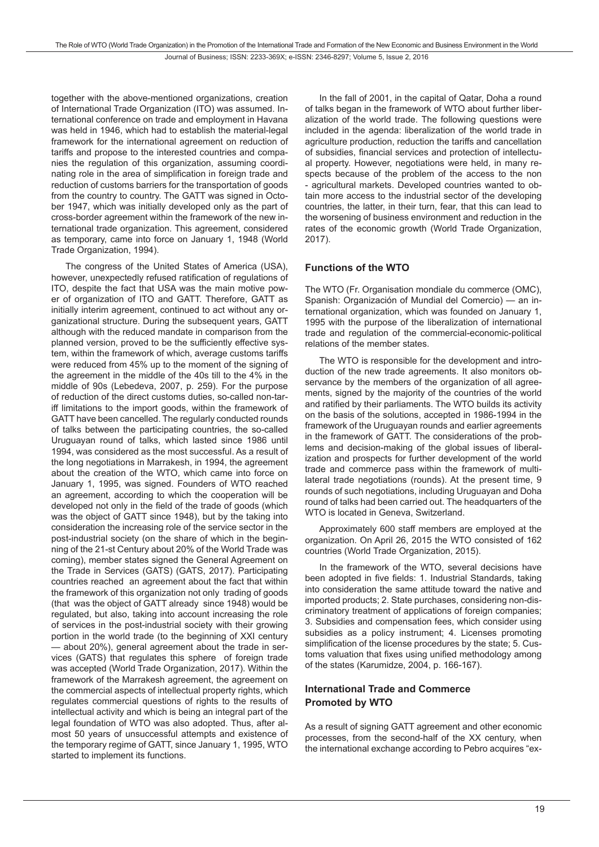together with the above-mentioned organizations, creation of International Trade Organization (ITO) was assumed. International conference on trade and employment in Havana was held in 1946, which had to establish the material-legal framework for the international agreement on reduction of tariffs and propose to the interested countries and companies the regulation of this organization, assuming coordinating role in the area of simplification in foreign trade and reduction of customs barriers for the transportation of goods from the country to country. The GATT was signed in October 1947, which was initially developed only as the part of cross-border agreement within the framework of the new international trade organization. This agreement, considered as temporary, came into force on January 1, 1948 (World Trade Organization, 1994).

The congress of the United States of America (USA), however, unexpectedly refused ratification of regulations of ITO, despite the fact that USA was the main motive power of organization of ITO and GATT. Therefore, GATT as initially interim agreement, continued to act without any organizational structure. During the subsequent years, GATT although with the reduced mandate in comparison from the planned version, proved to be the sufficiently effective system, within the framework of which, average customs tariffs were reduced from 45% up to the moment of the signing of the agreement in the middle of the 40s till to the 4% in the middle of 90s (Lebedeva, 2007, p. 259). For the purpose of reduction of the direct customs duties, so-called non-tariff limitations to the import goods, within the framework of GATT have been cancelled. The regularly conducted rounds of talks between the participating countries, the so-called Uruguayan round of talks, which lasted since 1986 until 1994, was considered as the most successful. As a result of the long negotiations in Marrakesh, in 1994, the agreement about the creation of the WTO, which came into force on January 1, 1995, was signed. Founders of WTO reached an agreement, according to which the cooperation will be developed not only in the field of the trade of goods (which was the object of GATT since 1948), but by the taking into consideration the increasing role of the service sector in the post-industrial society (on the share of which in the beginning of the 21-st Century about 20% of the World Trade was coming), member states signed the General Agreement on the Trade in Services (GATS) (GATS, 2017). Participating countries reached an agreement about the fact that within the framework of this organization not only trading of goods (that was the object of GATT already since 1948) would be regulated, but also, taking into account increasing the role of services in the post-industrial society with their growing portion in the world trade (to the beginning of XXI century — about 20%), general agreement about the trade in services (GATS) that regulates this sphere of foreign trade was accepted (World Trade Organization, 2017). Within the framework of the Marrakesh agreement, the agreement on the commercial aspects of intellectual property rights, which regulates commercial questions of rights to the results of intellectual activity and which is being an integral part of the legal foundation of WTO was also adopted. Thus, after almost 50 years of unsuccessful attempts and existence of the temporary regime of GATT, since January 1, 1995, WTO started to implement its functions.

In the fall of 2001, in the capital of Qatar, Doha a round of talks began in the framework of WTO about further liberalization of the world trade. The following questions were included in the agenda: liberalization of the world trade in agriculture production, reduction the tariffs and cancellation of subsidies, financial services and protection of intellectual property. However, negotiations were held, in many respects because of the problem of the access to the non - agricultural markets. Developed countries wanted to obtain more access to the industrial sector of the developing countries, the latter, in their turn, fear, that this can lead to the worsening of business environment and reduction in the rates of the economic growth (World Trade Organization, 2017).

#### **Functions of the WTO**

The WTO (Fr. Organisation mondiale du commerce (OMC), Spanish: Organización of Mundial del Comercio) — an international organization, which was founded on January 1, 1995 with the purpose of the liberalization of international trade and regulation of the commercial-economic-political relations of the member states.

The WTO is responsible for the development and introduction of the new trade agreements. It also monitors observance by the members of the organization of all agreements, signed by the majority of the countries of the world and ratified by their parliaments. The WTO builds its activity on the basis of the solutions, accepted in 1986-1994 in the framework of the Uruguayan rounds and earlier agreements in the framework of GATT. The considerations of the problems and decision-making of the global issues of liberalization and prospects for further development of the world trade and commerce pass within the framework of multilateral trade negotiations (rounds). At the present time, 9 rounds of such negotiations, including Uruguayan and Doha round of talks had been carried out. The headquarters of the WTO is located in Geneva, Switzerland.

Approximately 600 staff members are employed at the organization. On April 26, 2015 the WTO consisted of 162 countries (World Trade Organization, 2015).

In the framework of the WTO, several decisions have been adopted in five fields: 1. Industrial Standards, taking into consideration the same attitude toward the native and imported products; 2. State purchases, considering non-discriminatory treatment of applications of foreign companies; 3. Subsidies and compensation fees, which consider using subsidies as a policy instrument; 4. Licenses promoting simplification of the license procedures by the state; 5. Customs valuation that fixes using unified methodology among of the states (Karumidze, 2004, p. 166-167).

#### **International Trade and Commerce Promoted by WTO**

As a result of signing GATT agreement and other economic processes, from the second-half of the XX century, when the international exchange according to Pebro acquires "ex-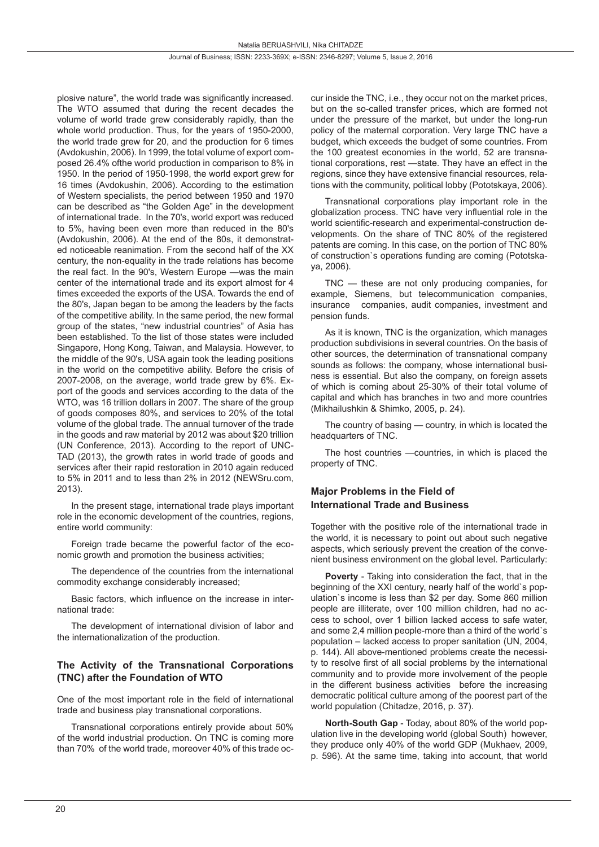plosive nature", the world trade was significantly increased. The WTO assumed that during the recent decades the volume of world trade grew considerably rapidly, than the whole world production. Thus, for the years of 1950-2000, the world trade grew for 20, and the production for 6 times (Avdokushin, 2006). In 1999, the total volume of export composed 26.4% ofthe world production in comparison to 8% in 1950. In the period of 1950-1998, the world export grew for 16 times (Avdokushin, 2006). According to the estimation of Western specialists, the period between 1950 and 1970 can be described as "the Golden Age" in the development of international trade. In the 70's, world export was reduced to 5%, having been even more than reduced in the 80's (Avdokushin, 2006). At the end of the 80s, it demonstrated noticeable reanimation. From the second half of the XX century, the non-equality in the trade relations has become the real fact. In the 90's, Western Europe —was the main center of the international trade and its export almost for 4 times exceeded the exports of the USA. Towards the end of the 80's, Japan began to be among the leaders by the facts of the competitive ability. In the same period, the new formal group of the states, "new industrial countries" of Asia has been established. To the list of those states were included Singapore, Hong Kong, Taiwan, and Malaysia. However, to the middle of the 90's, USA again took the leading positions in the world on the competitive ability. Before the crisis of 2007-2008, on the average, world trade grew by 6%. Export of the goods and services according to the data of the WTO, was 16 trillion dollars in 2007. The share of the group of goods composes 80%, and services to 20% of the total volume of the global trade. The annual turnover of the trade in the goods and raw material by 2012 was about \$20 trillion (UN Conference, 2013). According to the report of UNC-TAD (2013), the growth rates in world trade of goods and services after their rapid restoration in 2010 again reduced to 5% in 2011 and to less than 2% in 2012 (NEWSru.com, 2013).

In the present stage, international trade plays important role in the economic development of the countries, regions, entire world community:

Foreign trade became the powerful factor of the economic growth and promotion the business activities;

The dependence of the countries from the international commodity exchange considerably increased;

Basic factors, which influence on the increase in international trade:

The development of international division of labor and the internationalization of the production.

#### **The Activity of the Transnational Corporations (TNC) after the Foundation of WTO**

One of the most important role in the field of international trade and business play transnational corporations.

Transnational corporations entirely provide about 50% of the world industrial production. On TNC is coming more than 70% of the world trade, moreover 40% of this trade occur inside the TNC, i.e., they occur not on the market prices, but on the so-called transfer prices, which are formed not under the pressure of the market, but under the long-run policy of the maternal corporation. Very large TNC have a budget, which exceeds the budget of some countries. From the 100 greatest economies in the world, 52 are transnational corporations, rest —state. They have an effect in the regions, since they have extensive financial resources, relations with the community, political lobby (Pototskaya, 2006).

Transnational corporations play important role in the globalization process. TNC have very influential role in the world scientific-research and experimental-construction developments. On the share of TNC 80% of the registered patents are coming. In this case, on the portion of TNC 80% of construction`s operations funding are coming (Pototskaya, 2006).

TNC — these are not only producing companies, for example, Siemens, but telecommunication companies, insurance companies, audit companies, investment and pension funds.

As it is known, TNC is the organization, which manages production subdivisions in several countries. On the basis of other sources, the determination of transnational company sounds as follows: the company, whose international business is essential. But also the company, on foreign assets of which is coming about 25-30% of their total volume of capital and which has branches in two and more countries (Mikhailushkin & Shimko, 2005, p. 24).

The country of basing — country, in which is located the headquarters of TNC.

The host countries —countries, in which is placed the property of TNC.

#### **Major Problems in the Field of International Trade and Business**

Together with the positive role of the international trade in the world, it is necessary to point out about such negative aspects, which seriously prevent the creation of the convenient business environment on the global level. Particularly:

**Poverty** - Taking into consideration the fact, that in the beginning of the XXI century, nearly half of the world`s population`s income is less than \$2 per day. Some 860 million people are illiterate, over 100 million children, had no access to school, over 1 billion lacked access to safe water, and some 2,4 million people-more than a third of the world`s population – lacked access to proper sanitation (UN, 2004, p. 144). All above-mentioned problems create the necessity to resolve first of all social problems by the international community and to provide more involvement of the people in the different business activities before the increasing democratic political culture among of the poorest part of the world population (Chitadze, 2016, p. 37).

**North-South Gap** - Today, about 80% of the world population live in the developing world (global South) however, they produce only 40% of the world GDP (Mukhaev, 2009, p. 596). At the same time, taking into account, that world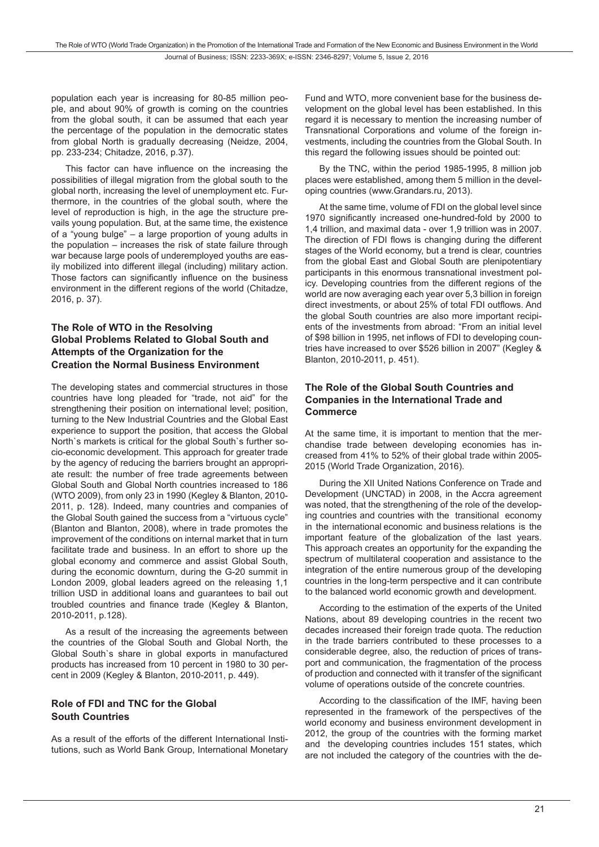population each year is increasing for 80-85 million people, and about 90% of growth is coming on the countries from the global south, it can be assumed that each year the percentage of the population in the democratic states from global North is gradually decreasing (Neidze, 2004, pp. 233-234; Chitadze, 2016, p.37).

This factor can have influence on the increasing the possibilities of illegal migration from the global south to the global north, increasing the level of unemployment etc. Furthermore, in the countries of the global south, where the level of reproduction is high, in the age the structure prevails young population. But, at the same time, the existence of a "young bulge" – a large proportion of young adults in the population – increases the risk of state failure through war because large pools of underemployed youths are easily mobilized into different illegal (including) military action. Those factors can significantly influence on the business environment in the different regions of the world (Chitadze, 2016, p. 37).

#### **The Role of WTO in the Resolving Global Problems Related to Global South and Attempts of the Organization for the Creation the Normal Business Environment**

The developing states and commercial structures in those countries have long pleaded for "trade, not aid" for the strengthening their position on international level; position, turning to the New Industrial Countries and the Global East experience to support the position, that access the Global North`s markets is critical for the global South`s further socio-economic development. This approach for greater trade by the agency of reducing the barriers brought an appropriate result: the number of free trade agreements between Global South and Global North countries increased to 186 (WTO 2009), from only 23 in 1990 (Kegley & Blanton, 2010- 2011, p. 128). Indeed, many countries and companies of the Global South gained the success from a "virtuous cycle" (Blanton and Blanton, 2008), where in trade promotes the improvement of the conditions on internal market that in turn facilitate trade and business. In an effort to shore up the global economy and commerce and assist Global South, during the economic downturn, during the G-20 summit in London 2009, global leaders agreed on the releasing 1,1 trillion USD in additional loans and guarantees to bail out troubled countries and finance trade (Kegley & Blanton, 2010-2011, p.128).

As a result of the increasing the agreements between the countries of the Global South and Global North, the Global South`s share in global exports in manufactured products has increased from 10 percent in 1980 to 30 percent in 2009 (Kegley & Blanton, 2010-2011, p. 449).

# **Role of FDI and TNC for the Global South Countries**

As a result of the efforts of the different International Institutions, such as World Bank Group, International Monetary

Fund and WTO, more convenient base for the business development on the global level has been established. In this regard it is necessary to mention the increasing number of Transnational Corporations and volume of the foreign investments, including the countries from the Global South. In this regard the following issues should be pointed out:

By the TNC, within the period 1985-1995, 8 million job places were established, among them 5 million in the developing countries (www.Grandars.ru, 2013).

At the same time, volume of FDI on the global level since 1970 significantly increased one-hundred-fold by 2000 to 1,4 trillion, and maximal data - over 1,9 trillion was in 2007. The direction of FDI flows is changing during the different stages of the World economy, but a trend is clear, countries from the global East and Global South are plenipotentiary participants in this enormous transnational investment policy. Developing countries from the different regions of the world are now averaging each year over 5,3 billion in foreign direct investments, or about 25% of total FDI outflows. And the global South countries are also more important recipients of the investments from abroad: "From an initial level of \$98 billion in 1995, net inflows of FDI to developing countries have increased to over \$526 billion in 2007" (Kegley & Blanton, 2010-2011, p. 451).

#### **The Role of the Global South Countries and Companies in the International Trade and Commerce**

At the same time, it is important to mention that the merchandise trade between developing economies has increased from 41% to 52% of their global trade within 2005- 2015 (World Trade Organization, 2016).

During the XII United Nations Conference on Trade and Development (UNCTAD) in 2008, in the Accra agreement was noted, that the strengthening of the role of the developing countries and countries with the transitional economy in the international economic and business relations is the important feature of the globalization of the last years. This approach creates an opportunity for the expanding the spectrum of multilateral cooperation and assistance to the integration of the entire numerous group of the developing countries in the long-term perspective and it can contribute to the balanced world economic growth and development.

According to the estimation of the experts of the United Nations, about 89 developing countries in the recent two decades increased their foreign trade quota. The reduction in the trade barriers contributed to these processes to a considerable degree, also, the reduction of prices of transport and communication, the fragmentation of the process of production and connected with it transfer of the significant volume of operations outside of the concrete countries.

According to the classification of the IMF, having been represented in the framework of the perspectives of the world economy and business environment development in 2012, the group of the countries with the forming market and the developing countries includes 151 states, which are not included the category of the countries with the de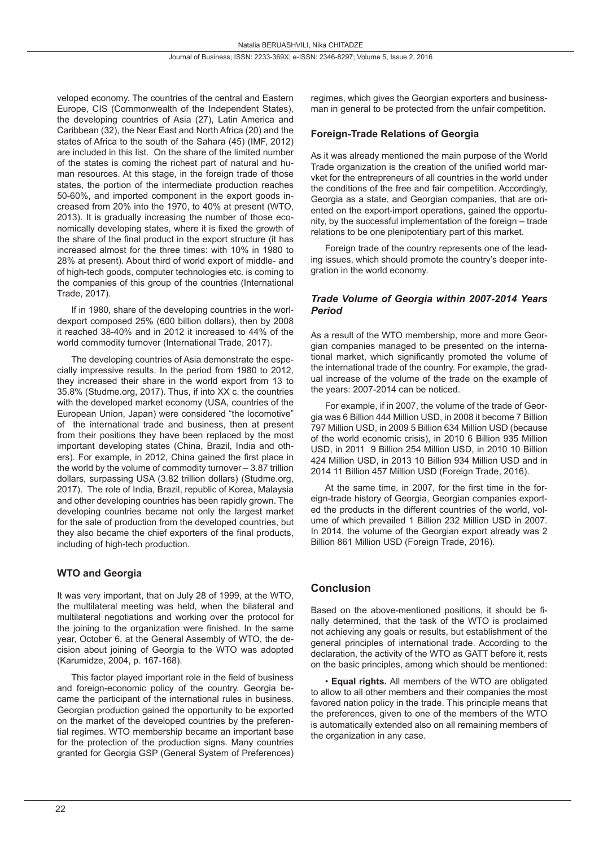veloped economy. The countries of the central and Eastern Europe, CIS (Commonwealth of the Independent States), the developing countries of Asia (27), Latin America and Caribbean (32), the Near East and North Africa (20) and the states of Africa to the south of the Sahara (45) (IMF, 2012) are included in this list. On the share of the limited number of the states is coming the richest part of natural and human resources. At this stage, in the foreign trade of those states, the portion of the intermediate production reaches 50-60%, and imported component in the export goods increased from 20% into the 1970, to 40% at present (WTO, 2013). It is gradually increasing the number of those economically developing states, where it is fixed the growth of the share of the final product in the export structure (it has increased almost for the three times: with 10% in 1980 to 28% at present). About third of world export of middle- and of high-tech goods, computer technologies etc. is coming to the companies of this group of the countries (International Trade, 2017).

If in 1980, share of the developing countries in the worldexport composed 25% (600 billion dollars), then by 2008 it reached 38-40% and in 2012 it increased to 44% of the world commodity turnover (International Trade, 2017).

The developing countries of Asia demonstrate the especially impressive results. In the period from 1980 to 2012, they increased their share in the world export from 13 to 35.8% (Studme.org, 2017). Thus, if into XX c. the countries with the developed market economy (USA, countries of the European Union, Japan) were considered "the locomotive" of the international trade and business, then at present from their positions they have been replaced by the most important developing states (China, Brazil, India and others). For example, in 2012, China gained the first place in the world by the volume of commodity turnover – 3.87 trillion dollars, surpassing USA (3.82 trillion dollars) (Studme.org, 2017). The role of India, Brazil, republic of Korea, Malaysia and other developing countries has been rapidly grown. The developing countries became not only the largest market for the sale of production from the developed countries, but they also became the chief exporters of the final products, including of high-tech production.

# **WTO and Georgia**

It was very important, that on July 28 of 1999, at the WTO, the multilateral meeting was held, when the bilateral and multilateral negotiations and working over the protocol for the joining to the organization were finished. In the same year, October 6, at the General Assembly of WTO, the decision about joining of Georgia to the WTO was adopted (Karumidze, 2004, p. 167-168).

This factor played important role in the field of business and foreign-economic policy of the country. Georgia became the participant of the international rules in business. Georgian production gained the opportunity to be exported on the market of the developed countries by the preferential regimes. WTO membership became an important base for the protection of the production signs. Many countries granted for Georgia GSP (General System of Preferences) regimes, which gives the Georgian exporters and businessman in general to be protected from the unfair competition.

### **Foreign-Trade Relations of Georgia**

As it was already mentioned the main purpose of the World Trade organization is the creation of the unified world marvket for the entrepreneurs of all countries in the world under the conditions of the free and fair competition. Accordingly, Georgia as a state, and Georgian companies, that are oriented on the export-import operations, gained the opportunity, by the successful implementation of the foreign – trade relations to be one plenipotentiary part of this market.

Foreign trade of the country represents one of the leading issues, which should promote the country's deeper integration in the world economy.

#### *Trade Volume of Georgia within 2007-2014 Years Period*

As a result of the WTO membership, more and more Georgian companies managed to be presented on the international market, which significantly promoted the volume of the international trade of the country. For example, the gradual increase of the volume of the trade on the example of the years: 2007-2014 can be noticed.

For example, if in 2007, the volume of the trade of Georgia was 6 Billion 444 Million USD, in 2008 it become 7 Billion 797 Million USD, in 2009 5 Billion 634 Million USD (because of the world economic crisis), in 2010 6 Billion 935 Million USD, in 2011 9 Billion 254 Million USD, in 2010 10 Billion 424 Million USD, in 2013 10 Billion 934 Million USD and in 2014 11 Billion 457 Million USD (Foreign Trade, 2016).

At the same time, in 2007, for the first time in the foreign-trade history of Georgia, Georgian companies exported the products in the different countries of the world, volume of which prevailed 1 Billion 232 Million USD in 2007. In 2014, the volume of the Georgian export already was 2 Billion 861 Million USD (Foreign Trade, 2016).

# **Conclusion**

Based on the above-mentioned positions, it should be finally determined, that the task of the WTO is proclaimed not achieving any goals or results, but establishment of the general principles of international trade. According to the declaration, the activity of the WTO as GATT before it, rests on the basic principles, among which should be mentioned:

• **Equal rights.** All members of the WTO are obligated to allow to all other members and their companies the most favored nation policy in the trade. This principle means that the preferences, given to one of the members of the WTO is automatically extended also on all remaining members of the organization in any case.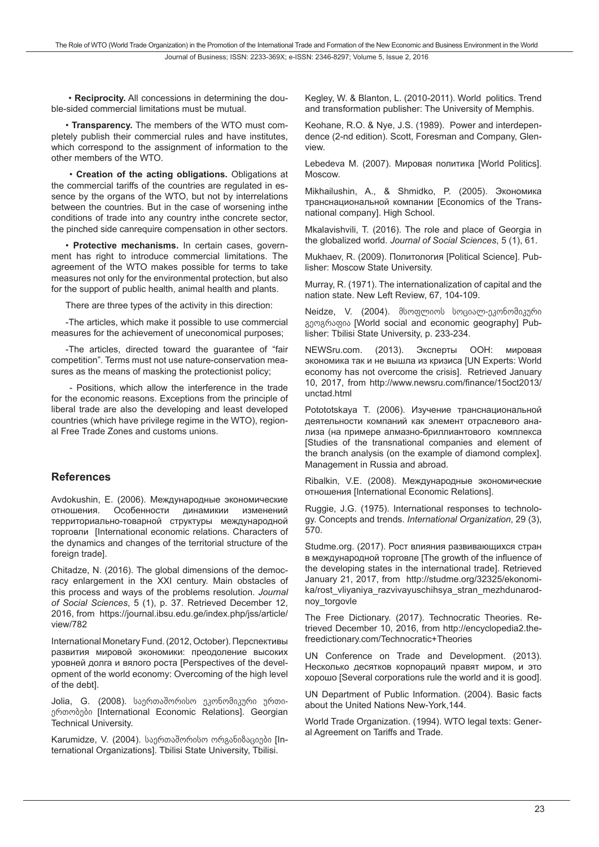• **Reciprocity.** All concessions in determining the double-sided commercial limitations must be mutual.

• **Transparency.** The members of the WTO must completely publish their commercial rules and have institutes, which correspond to the assignment of information to the other members of the WTO.

 • **Creation of the acting obligations.** Obligations at the commercial tariffs of the countries are regulated in essence by the organs of the WTO, but not by interrelations between the countries. But in the case of worsening inthe conditions of trade into any country inthe concrete sector, the pinched side canrequire compensation in other sectors.

• **Protective mechanisms.** In certain cases, government has right to introduce commercial limitations. The agreement of the WTO makes possible for terms to take measures not only for the environmental protection, but also for the support of public health, animal health and plants.

There are three types of the activity in this direction:

-The articles, which make it possible to use commercial measures for the achievement of uneconomical purposes;

-The articles, directed toward the guarantee of "fair competition". Terms must not use nature-conservation measures as the means of masking the protectionist policy;

 - Positions, which allow the interference in the trade for the economic reasons. Exceptions from the principle of liberal trade are also the developing and least developed countries (which have privilege regime in the WTO), regional Free Trade Zones and customs unions.

#### **References**

Avdokushin, E. (2006). Международные экономические отношения. Особенности динамикии изменений территориально-товарной структуры международной торговли [International economic relations. Characters of the dynamics and changes of the territorial structure of the foreign tradel.

Chitadze, N. (2016). The global dimensions of the democracy enlargement in the XXI century. Main obstacles of this process and ways of the problems resolution. *Journal of Social Sciences*, 5 (1), p. 37. Retrieved December 12, 2016, from https://journal.ibsu.edu.ge/index.php/jss/article/ view/782

International Monetary Fund. (2012, October). Перспективы развития мировой экономики: преодоление высоких уровней долга и вялого роста [Perspectives of the development of the world economy: Overcoming of the high level of the debt].

Jolia, G. (2008). საერთაშორისო ეკონომიკური ურთიერთობები [International Economic Relations]. Georgian Technical University.

Karumidze, V. (2004). საერთაშორისო ორგანიზაციები [International Organizations]. Tbilisi State University, Tbilisi.

Kegley, W. & Blanton, L. (2010-2011). World politics. Trend and transformation publisher: The University of Memphis.

Keohane, R.O. & Nye, J.S. (1989). Power and interdependence (2-nd edition). Scott, Foresman and Company, Glenview.

Lebedeva M. (2007). Мировая политика [World Politics]. Moscow.

Mikhailushin, A., & Shmidko, P. (2005). Экономика транснациональной компании [Economics of the Transnational company]. High School.

Mkalavishvili, T. (2016). The role and place of Georgia in the globalized world. *Journal of Social Sciences*, 5 (1), 61.

Mukhaev, R. (2009). Политология [Political Science]. Publisher: Moscow State University.

Murray, R. (1971). The internationalization of capital and the nation state. New Left Review, 67, 104-109.

Neidze, V. (2004). მსოფლიოს სოციალ-ეკონომიკური გეოგრაფია [World social and economic geography] Publisher: Tbilisi State University, p. 233-234.

NEWSru.com. (2013). Эксперты ООН: мировая экономика так и не вышла из кризиса [UN Experts: World economy has not overcome the crisis]. Retrieved January 10, 2017, from http://www.newsru.com/finance/15oct2013/ unctad.html

Potototskaya T. (2006). Изучение транснациональной деятельности компаний как элемент отраслевого анализа (на примере алмазно-бриллиантового комплекса [Studies of the transnational companies and element of the branch analysis (on the example of diamond complex]. Management in Russia and abroad.

Ribalkin, V.E. (2008). Международные экономические отношения [International Economic Relations].

Ruggie, J.G. (1975). International responses to technology. Concepts and trends. *International Organization*, 29 (3), 570.

Studme.org. (2017). Рост влияния развивающихся стран в международной торговле [The growth of the influence of the developing states in the international trade]. Retrieved January 21, 2017, from http://studme.org/32325/ekonomika/rost vliyaniya razvivayuschihsya stran mezhdunarodnoy\_torgovle

The Free Dictionary. (2017). Technocratic Theories. Retrieved December 10, 2016, from http://encyclopedia2.thefreedictionary.com/Technocratic+Theories

UN Conference on Trade and Development. (2013). Несколько десятков корпораций правят миром, и это хорошо [Several corporations rule the world and it is good].

UN Department of Public Information. (2004). Basic facts about the United Nations New-York,144.

World Trade Organization. (1994). WTO legal texts: General Agreement on Tariffs and Trade.